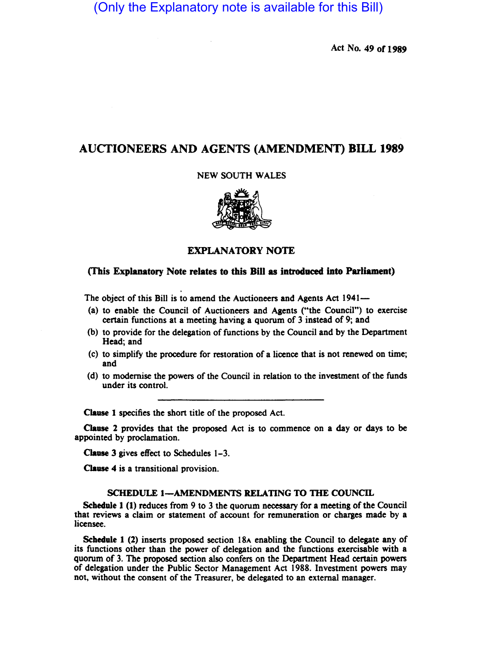(Only the Explanatory note is available for this Bill)

Act No. 49 or 1989

# AUCTIONEERS AND AGENTS (AMENDMENT) BILL 1989

### NEW SOUTH WALES



## EXPLANATORY NOTE

### (This Explanatory Note relates to this Bill as introduced into Parliament)

The object of this Bill is to amend the Auctioneers and Agents Act 1941-

- (a) to enable the Council of Auctioneers and Agents ("the Council") to exercise certain functions at a meeting having a quorum of 3 instead of 9; and
- (b) to provide for the delegation of functions by the Council and by the Department Head; and
- (c) to simplify the procedure for restoration of a licence that is not renewed on time; and
- (d) to modernise the powers of the Council in relation to the investment of the funds under its control.

Clause 1 specifies the short title of the proposed Act.

Clause 2 provides that the proposed Act is to commence on a day or days to be appointed by proclamation.

Clause 3 gives effect to Schedules 1-3.

Clause 4 is a transitional provision.

### SCHEDULE 1-AMENDMENTS RELATING TO THE COUNCIL

Schedule 1 (I) reduces from 9 to 3 the quorum necessary for a meeting of the Council that reviews a claim or statement of account for remuneration or charges made by a licensee.

Schedule 1 (2) inserts proposed section 18A enabling the Council to delegate any of its functions other than the power of delegation and the functions exercisable with a quorum of 3. The proposed section also confers on the Department Head certain powers of delegation under the Public Sector Management Act 1988. Investment powers may not, without the consent of the Treasurer, be delegated to an external manager.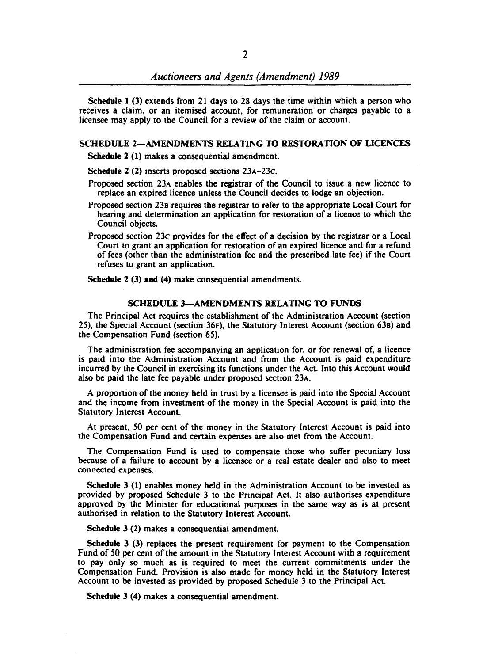Schedule 1 (3) extends from 21 days to 28 days the time within which a person who receives a claim, or an itemised account, for remuneration or charges payable to a licensee may apply to the Council for a review of the claim or account.

#### SCHEDULE 2-AMENDMENTS RELATING TO RESTORATION OF LICENCES

Schedule 2 (1) makes a consequential amendment.

Schedule 2 (2) inserts proposed sections 23A-23c.

- Proposed section 23A enables the registrar of the Council to issue a new licence to replace an expired licence unless the Council decides to lodge an objection.
- Proposed section 238 requires the registrar to refer to the appropriate Local Court for hearing and determination an application for restoration of a licence to which the Council objects.
- Proposed section 23c provides for the effect of a decision by the registrar or a Local Court to grant an application for restoration of an expired licence and for a refund of fees (other than the administration fee and the prescribed late fee) if the Court refuses to grant an application.

Schedule 2 (3) and (4) make consequential amendments.

#### SCHEDULE 3-AMENDMENTS RELATING TO FUNDS

The Principal Act requires the establishment of the Administration Account (section 25), the Special Account (section 36F), the Statutory Interest Account (section 638) and the Compensation Fund (section 65).

The administration fee accompanying an application for. or for renewal of, a licence is paid into the Administration Account and from the Account is paid expenditure incurred by the Council in exercising its functions under the Act. Into this Account would also be paid the late fee payable under proposed section 23A.

A proportion of the money held in trust by a licensee is paid into the Special Account and the income from investment of the money in the Special Account is paid into the Statutory Interest Account.

At present. 50 per cent of the money in the Statutory Interest Account is paid into the Compensation Fund and certain expenses are also met from the Account.

The Compensation Fund is used to compensate those who suffer pecuniary loss because of a failure to account by a licensee or a real estate dealer and also to meet connected expenses.

Schedule 3 (1) enables money held in the Administration Account to be invested as provided by proposed Schedule 3 to the Principal Act. It also authorises expenditure approved by the Minister for educational purposes in the same way as is at present authorised in relation to the Statutory Interest Account.

Schedule 3 (2) makes a consequential amendment.

Schedule 3 (3) replaces the present requirement for payment to the Compensation Fund of 50 per cent of the amount in the Statutory Interest Account with a requirement to pay only so much as is required to meet the current commitments under the Compensation Fund. Provision is also made for money held in the Statutory Interest Account to be invested as provided by proposed Schedule 3 to the Principal Act.

Schedule 3 (4) makes a consequential amendment.